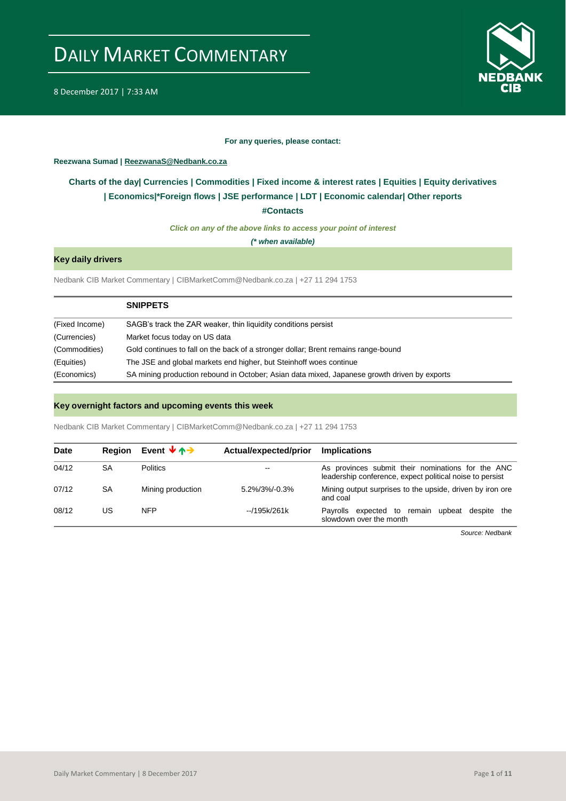

8 December 2017 | 7:33 AM

#### **For any queries, please contact:**

<span id="page-0-0"></span>**Reezwana Sumad | ReezwanaS@Nedbank.co.za**

## **Charts of the day| [Currencies](#page-2-0) [| Commodities](#page-3-0) | [Fixed income & interest rates](#page-1-0) | [Equities](#page-4-0) | Equity derivatives | [Economics|\\*](#page-7-0)Foreign flows [| JSE performance](#page-4-1) | [LDT](#page-5-0) | [Economic calendar|](#page-8-0) Other reports**

**[#Contacts](#page-9-0)**

*Click on any of the above links to access your point of interest*

*(\* when available)*

## **Key daily drivers**

Nedbank CIB Market Commentary | CIBMarketComm@Nedbank.co.za | +27 11 294 1753

|                | <b>SNIPPETS</b>                                                                              |
|----------------|----------------------------------------------------------------------------------------------|
| (Fixed Income) | SAGB's track the ZAR weaker, thin liquidity conditions persist                               |
| (Currencies)   | Market focus today on US data                                                                |
| (Commodities)  | Gold continues to fall on the back of a stronger dollar; Brent remains range-bound           |
| (Equities)     | The JSE and global markets end higher, but Steinhoff woes continue                           |
| (Economics)    | SA mining production rebound in October; Asian data mixed, Japanese growth driven by exports |

### **Key overnight factors and upcoming events this week**

Nedbank CIB Market Commentary | CIBMarketComm@Nedbank.co.za | +27 11 294 1753

| <b>Date</b> | <b>Region</b> | Event $\forall \uparrow \rightarrow$ | Actual/expected/prior    | <b>Implications</b>                                                                                           |
|-------------|---------------|--------------------------------------|--------------------------|---------------------------------------------------------------------------------------------------------------|
| 04/12       | SA            | <b>Politics</b>                      | $\overline{\phantom{m}}$ | As provinces submit their nominations for the ANC<br>leadership conference, expect political noise to persist |
| 07/12       | SA            | Mining production                    | $5.2\%/3\%/0.3\%$        | Mining output surprises to the upside, driven by iron ore<br>and coal                                         |
| 08/12       | US            | <b>NFP</b>                           | --/195k/261k             | expected to remain<br>upbeat despite the<br>Pavrolls<br>slowdown over the month                               |

*Source: Nedbank*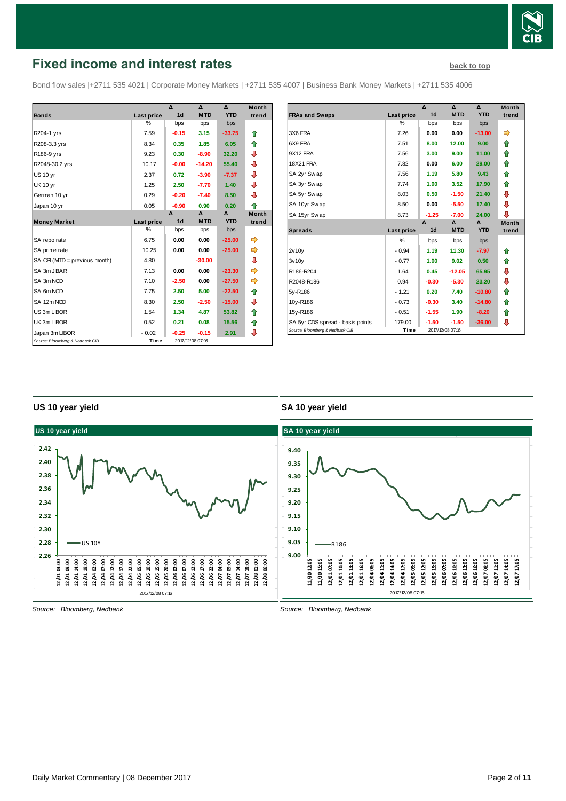

# <span id="page-1-0"></span>**Fixed income and interest rates [back to top](#page-0-0) back to top**

Bond flow sales |+2711 535 4021 | Corporate Money Markets | +2711 535 4007 | Business Bank Money Markets | +2711 535 4006

|                                 |            | $\overline{\mathbf{A}}$ | ۸                | $\mathbf{v}$ | <b>Month</b> |
|---------------------------------|------------|-------------------------|------------------|--------------|--------------|
| <b>Bonds</b>                    | Last price | 1 <sub>d</sub>          | <b>MTD</b>       | <b>YTD</b>   | trend        |
|                                 | %          | bps                     | bps              | bps          |              |
| R204-1 yrs                      | 7.59       | $-0.15$                 | 3.15             | $-33.75$     | ⇑            |
| R208-3.3 yrs                    | 8.34       | 0.35                    | 1.85             | 6.05         | ⇑            |
| R186-9 yrs                      | 9.23       | 0.30                    | $-8.90$          | 32.20        | ⊕            |
| R2048-30.2 yrs                  | 10.17      | $-0.00$                 | $-14.20$         | 55.40        | ⊕            |
| <b>US 10 yr</b>                 | 2.37       | 0.72                    | $-3.90$          | $-7.37$      | ⊕            |
| <b>UK 10 yr</b>                 | 1.25       | 2.50                    | $-7.70$          | 1.40         | ⊕            |
| German 10 yr                    | 0.29       | $-0.20$                 | $-7.40$          | 8.50         | ⊕            |
| Japan 10 yr                     | 0.05       | $-0.90$                 | 0.90             | 0.20         | ⇑            |
|                                 |            | Δ                       | Δ                | Δ            | <b>Month</b> |
| <b>Money Market</b>             | Last price | 1 <sub>d</sub>          | <b>MTD</b>       | <b>YTD</b>   | trend        |
|                                 | %          | bps                     | bps              | bps          |              |
| SA repo rate                    | 6.75       | 0.00                    | 0.00             | $-25.00$     | ⇛            |
| SA prime rate                   | 10.25      | 0.00                    | 0.00             | $-25.00$     | ⇛            |
| SA CPI (MTD = previous month)   | 4.80       |                         | $-30.00$         |              | ⊕            |
| SA 3m JIBAR                     | 7.13       | 0.00                    | 0.00             | $-23.30$     | ⇛            |
| SA 3m NCD                       | 7.10       | $-2.50$                 | 0.00             | $-27.50$     | ⇛            |
| SA 6m NCD                       | 7.75       | 2.50                    | 5.00             | $-22.50$     | ⇑            |
| SA 12m NCD                      | 8.30       | 2.50                    | $-2.50$          | $-15.00$     | ⇩            |
| US 3m LIBOR                     | 1.54       | 1.34                    | 4.87             | 53.82        | ⇑            |
| UK 3m LIBOR                     | 0.52       | 0.21                    | 0.08             | 15.56        | ⇑            |
| Japan 3m LIBOR                  | $-0.02$    | $-0.25$                 | $-0.15$          | 2.91         | ⊕            |
| Source: Bloomberg & Nedbank CIB | Time       |                         | 2017/12/08 07:16 |              |              |

|                                  |            | Δ              | Δ                | Δ          | <b>Month</b> |
|----------------------------------|------------|----------------|------------------|------------|--------------|
| <b>FRAs and Swaps</b>            | Last price | 1 <sub>d</sub> | <b>MTD</b>       | <b>YTD</b> | trend        |
|                                  | %          | bps            | bps              | bps        |              |
| 3X6 FRA                          | 7.26       | 0.00           | 0.00             | $-13.00$   | ⇛            |
| 6X9 FRA                          | 7.51       | 8.00           | 12.00            | 9.00       | ⇑            |
| 9X12 FRA                         | 7.56       | 3.00           | 9.00             | 11.00      | ⇑            |
| <b>18X21 FRA</b>                 | 7.82       | 0.00           | 6.00             | 29.00      | ⇑            |
| SA 2yr Swap                      | 7.56       | 1.19           | 5.80             | 9.43       | ⇑            |
| SA 3yr Swap                      | 7.74       | 1.00           | 3.52             | 17.90      | ⇑            |
| SA 5yr Swap                      | 8.03       | 0.50           | $-1.50$          | 21.40      | ⊕            |
| SA 10yr Swap                     | 8.50       | 0.00           | $-5.50$          | 17.40      | ⊕            |
| SA 15yr Swap                     | 8.73       | $-1.25$        | $-7.00$          | 24.00      | ⊕            |
|                                  |            | Δ              | Δ                | Δ          | <b>Month</b> |
| <b>Spreads</b>                   | Last price | 1 <sub>d</sub> | <b>MTD</b>       | <b>YTD</b> | trend        |
|                                  | $\%$       | bps            | bps              | bps        |              |
| 2v10v                            | $-0.94$    | 1.19           | 11.30            | $-7.97$    | ⇑            |
| 3v10v                            | $-0.77$    | 1.00           | 9.02             | 0.50       | ⇑            |
| R186-R204                        | 1.64       | 0.45           | $-12.05$         | 65.95      | ⊕            |
| R2048-R186                       | 0.94       | $-0.30$        | $-5.30$          | 23.20      | ⊕            |
| 5y-R186                          | $-1.21$    | 0.20           | 7.40             | $-10.80$   | ⇑            |
| 10y-R186                         | $-0.73$    | $-0.30$        | 3.40             | $-14.80$   | ⇑            |
| 15y-R186                         | $-0.51$    | $-1.55$        | 1.90             | $-8.20$    | ⇑            |
| SA 5yr CDS spread - basis points | 179.00     | $-1.50$        | $-1.50$          | $-36.00$   | ⊕            |
| Source: Bloomberg & Nedbank CIB  | Time       |                | 2017/12/08 07:16 |            |              |

### **US 10 year yield**

### **SA 10 year yield**

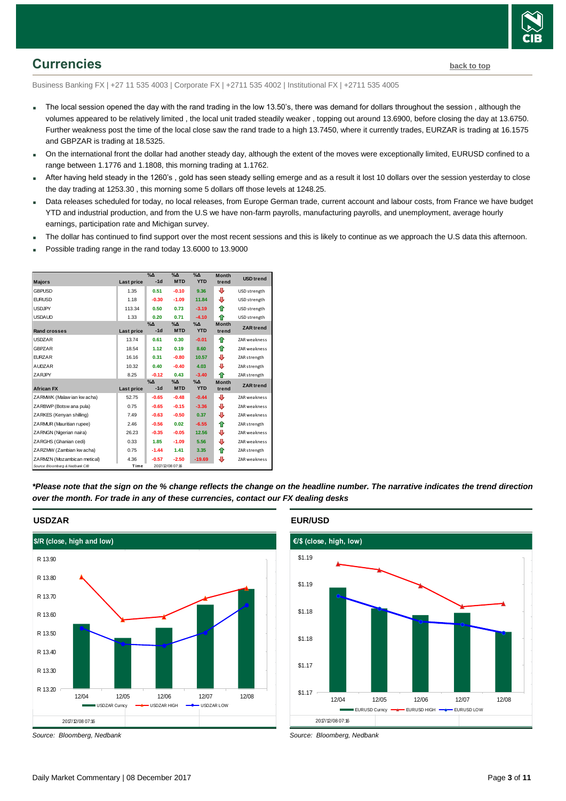

# <span id="page-2-0"></span>**Currencies [back to top](#page-0-0)**

Business Banking FX | +27 11 535 4003 | Corporate FX | +2711 535 4002 | Institutional FX | +2711 535 4005

- The local session opened the day with the rand trading in the low 13.50's, there was demand for dollars throughout the session, although the volumes appeared to be relatively limited , the local unit traded steadily weaker , topping out around 13.6900, before closing the day at 13.6750. Further weakness post the time of the local close saw the rand trade to a high 13.7450, where it currently trades, EURZAR is trading at 16.1575 and GBPZAR is trading at 18.5325.
- On the international front the dollar had another steady day, although the extent of the moves were exceptionally limited, EURUSD confined to a range between 1.1776 and 1.1808, this morning trading at 1.1762.
- After having held steady in the 1260's , gold has seen steady selling emerge and as a result it lost 10 dollars over the session yesterday to close the day trading at 1253.30 , this morning some 5 dollars off those levels at 1248.25.
- Data releases scheduled for today, no local releases, from Europe German trade, current account and labour costs, from France we have budget YTD and industrial production, and from the U.S we have non-farm payrolls, manufacturing payrolls, and unemployment, average hourly earnings, participation rate and Michigan survey.
- The dollar has continued to find support over the most recent sessions and this is likely to continue as we approach the U.S data this afternoon.
- Possible trading range in the rand today 13.6000 to 13.9000

| <b>Majors</b>                   | Last price | $\%$ $\Delta$<br>$-1d$ | $\%$ $\Delta$<br><b>MTD</b> | $\%$ $\Delta$<br><b>YTD</b> | <b>Month</b><br>trend | <b>USD</b> trend    |
|---------------------------------|------------|------------------------|-----------------------------|-----------------------------|-----------------------|---------------------|
|                                 |            |                        |                             |                             |                       |                     |
| <b>GBPUSD</b>                   | 1.35       | 0.51                   | $-0.10$                     | 9.36                        | ⊕                     | USD strength        |
| <b>EURUSD</b>                   | 1.18       | $-0.30$                | $-1.09$                     | 11.84                       | ⊕                     | USD strength        |
| <b>USDJPY</b>                   | 113.34     | 0.50                   | 0.73                        | $-3.19$                     | ⇑                     | USD strength        |
| <b>USDAUD</b>                   | 1.33       | 0.20                   | 0.71                        | $-4.10$                     | ♠                     | USD strength        |
|                                 |            | $\% \Delta$            | %Δ                          | $\%$ $\Delta$               | <b>Month</b>          | <b>ZAR</b> trend    |
| <b>Rand crosses</b>             | Last price | $-1d$                  | <b>MTD</b>                  | <b>YTD</b>                  | trend                 |                     |
| <b>USDZAR</b>                   | 13.74      | 0.61                   | 0.30                        | $-0.01$                     | ♠                     | ZAR weakness        |
| <b>GBPZAR</b>                   | 18.54      | 1.12                   | 0.19                        | 8.60                        | ⇑                     | <b>ZAR</b> weakness |
| <b>EURZAR</b>                   | 16.16      | 0.31                   | $-0.80$                     | 10.57                       | ⊕                     | ZAR strength        |
| <b>AUDZAR</b>                   | 10.32      | 0.40                   | $-0.40$                     | 4.03                        | ⊕                     | ZAR strength        |
| ZARJPY                          | 8.25       | $-0.12$                | 0.43                        | $-3.40$                     | ♠                     | ZAR strength        |
|                                 |            | $\%$ $\Delta$          | $\%$ $\Delta$               | $\Delta_0$                  | <b>Month</b>          | <b>ZAR</b> trend    |
| <b>African FX</b>               | Last price | $-1d$                  | <b>MTD</b>                  | <b>YTD</b>                  | trend                 |                     |
| ZARMWK (Malaw ian kw acha)      | 52.75      | $-0.65$                | $-0.48$                     | $-0.44$                     | ⊕                     | <b>ZAR</b> weakness |
| ZARBWP (Botsw ana pula)         | 0.75       | $-0.65$                | $-0.15$                     | $-3.36$                     | ⊕                     | ZAR weakness        |
| ZARKES (Kenyan shilling)        | 7.49       | $-0.63$                | $-0.50$                     | 0.37                        | ⊕                     | <b>ZAR</b> weakness |
| ZARMUR (Mauritian rupee)        | 2.46       | $-0.56$                | 0.02                        | $-6.55$                     | ⇑                     | ZAR strength        |
| ZARNGN (Nigerian naira)         | 26.23      | $-0.35$                | $-0.05$                     | 12.56                       | ⊕                     | <b>ZAR</b> weakness |
| ZARGHS (Ghanian cedi)           | 0.33       | 1.85                   | $-1.09$                     | 5.56                        | ⊕                     | <b>ZAR</b> weakness |
| ZARZMW (Zambian kw acha)        | 0.75       | $-1.44$                | 1.41                        | 3.35                        | ⇑                     | ZAR strength        |
| ZARMZN (Mozambican metical)     | 4.36       | $-0.57$                | $-2.50$                     | $-19.69$                    | ⊕                     | <b>ZAR</b> weakness |
| Source: Bloomberg & Nedbank CIB | Time       |                        | 2017/12/08 07:16            |                             |                       |                     |

*\*Please note that the sign on the % change reflects the change on the headline number. The narrative indicates the trend direction over the month. For trade in any of these currencies, contact our FX dealing desks*



*Source: Bloomberg, Nedbank*

#### **EUR/USD**



*Source: Bloomberg, Nedbank*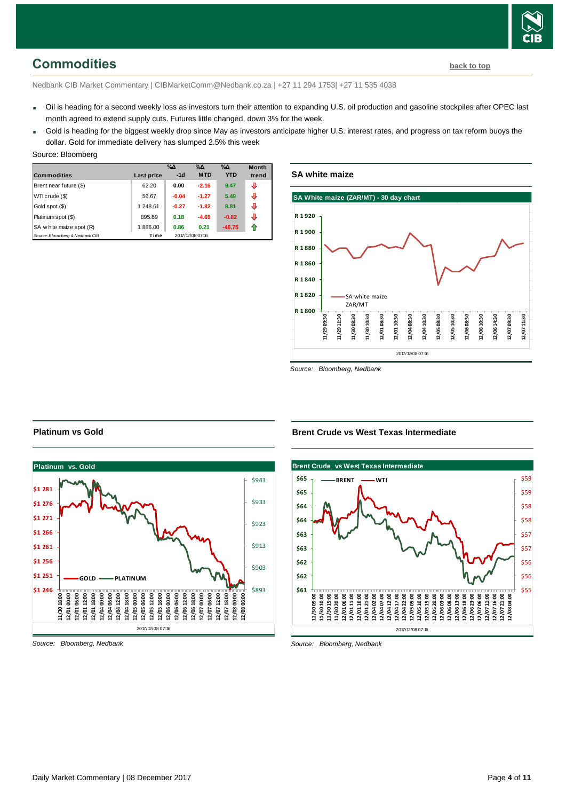

# <span id="page-3-0"></span>**Commodities [back to top](#page-0-0)**

Nedbank CIB Market Commentary | CIBMarketComm@Nedbank.co.za | +27 11 294 1753| +27 11 535 4038

- Oil is heading for a second weekly loss as investors turn their attention to expanding U.S. oil production and gasoline stockpiles after OPEC last month agreed to extend supply cuts. Futures little changed, down 3% for the week.
- Gold is heading for the biggest weekly drop since May as investors anticipate higher U.S. interest rates, and progress on tax reform buoys the dollar. Gold for immediate delivery has slumped 2.5% this week

| Source: Bloomberg |
|-------------------|
|                   |

| <b>Commodities</b>              | Last price | $\%$ $\Delta$<br>$-1d$ | $\%$ $\Delta$<br><b>MTD</b> | $\%$ $\Delta$<br><b>YTD</b> | <b>Month</b><br>trend |
|---------------------------------|------------|------------------------|-----------------------------|-----------------------------|-----------------------|
| Brent near future (\$)          | 62.20      | 0.00                   | $-2.16$                     | 9.47                        | ⊕                     |
| WTI crude (\$)                  | 56.67      | $-0.04$                | $-1.27$                     | 5.49                        | ⊕                     |
| Gold spot (\$)                  | 1 248.61   | $-0.27$                | $-1.82$                     | 8.81                        | ⊕                     |
| Platinum spot (\$)              | 895.69     | 0.18                   | $-4.69$                     | $-0.82$                     | J                     |
| SA w hite maize spot (R)        | 1886.00    | 0.86                   | 0.21                        | $-46.75$                    | ⇑                     |
| Source: Bloomberg & Nedbank CIB | Time       |                        | 2017/12/08 07:16            |                             |                       |

## **SA white maize**



*Source: Bloomberg, Nedbank*

#### **Platinum vs Gold**



*Source: Bloomberg, Nedbank*

#### **Brent Crude vs West Texas Intermediate**



*Source: Bloomberg, Nedbank*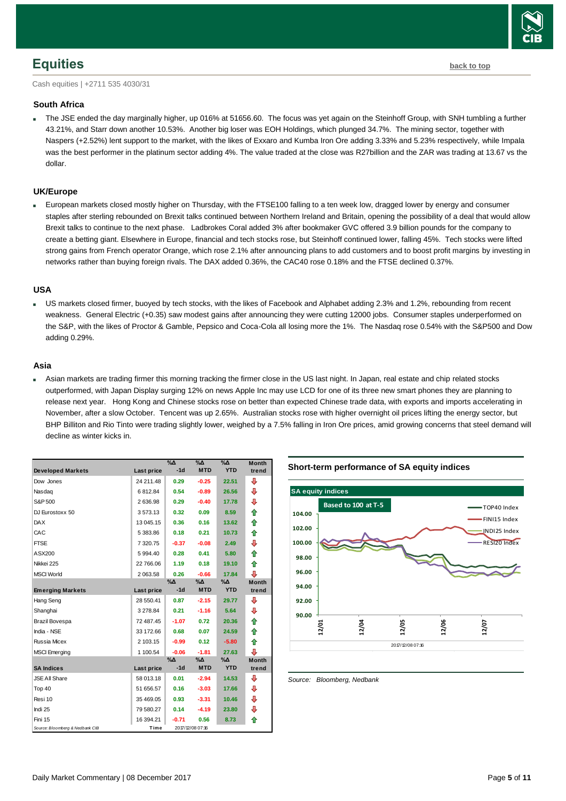

## <span id="page-4-0"></span>**Equities [back to top](#page-0-0)**

Cash equities | +2711 535 4030/31

### **South Africa**

 The JSE ended the day marginally higher, up 016% at 51656.60. The focus was yet again on the Steinhoff Group, with SNH tumbling a further 43.21%, and Starr down another 10.53%. Another big loser was EOH Holdings, which plunged 34.7%. The mining sector, together with Naspers (+2.52%) lent support to the market, with the likes of Exxaro and Kumba Iron Ore adding 3.33% and 5.23% respectively, while Impala was the best performer in the platinum sector adding 4%. The value traded at the close was R27billion and the ZAR was trading at 13.67 vs the dollar.

### **UK/Europe**

 European markets closed mostly higher on Thursday, with the FTSE100 falling to a ten week low, dragged lower by energy and consumer staples after sterling rebounded on Brexit talks continued between Northern Ireland and Britain, opening the possibility of a deal that would allow Brexit talks to continue to the next phase. Ladbrokes Coral added 3% after bookmaker GVC offered 3.9 billion pounds for the company to create a betting giant. Elsewhere in Europe, financial and tech stocks rose, but Steinhoff continued lower, falling 45%. Tech stocks were lifted strong gains from French operator Orange, which rose 2.1% after announcing plans to add customers and to boost profit margins by investing in networks rather than buying foreign rivals. The DAX added 0.36%, the CAC40 rose 0.18% and the FTSE declined 0.37%.

#### **USA**

 US markets closed firmer, buoyed by tech stocks, with the likes of Facebook and Alphabet adding 2.3% and 1.2%, rebounding from recent weakness. General Electric (+0.35) saw modest gains after announcing they were cutting 12000 jobs. Consumer staples underperformed on the S&P, with the likes of Proctor & Gamble, Pepsico and Coca-Cola all losing more the 1%. The Nasdaq rose 0.54% with the S&P500 and Dow adding 0.29%.

#### **Asia**

 Asian markets are trading firmer this morning tracking the firmer close in the US last night. In Japan, real estate and chip related stocks outperformed, with Japan Display surging 12% on news Apple Inc may use LCD for one of its three new smart phones they are planning to release next year. Hong Kong and Chinese stocks rose on better than expected Chinese trade data, with exports and imports accelerating in November, after a slow October. Tencent was up 2.65%. Australian stocks rose with higher overnight oil prices lifting the energy sector, but BHP Billiton and Rio Tinto were trading slightly lower, weighed by a 7.5% falling in Iron Ore prices, amid growing concerns that steel demand will decline as winter kicks in.

| <b>Developed Markets</b>        | Last price | $\%$ $\Delta$<br>$-1d$ | $\%$ $\Delta$<br><b>MTD</b> | $\%$ $\Delta$<br><b>YTD</b> | <b>Month</b><br>trend |
|---------------------------------|------------|------------------------|-----------------------------|-----------------------------|-----------------------|
| Dow Jones                       | 24 211.48  | 0.29                   | $-0.25$                     | 22.51                       | ⊕                     |
| Nasdag                          | 6812.84    | 0.54                   | $-0.89$                     | 26.56                       | ⇩                     |
| S&P 500                         | 2636.98    | 0.29                   | $-0.40$                     | 17.78                       | ⇩                     |
| DJ Eurostoxx 50                 | 3573.13    | 0.32                   | 0.09                        | 8.59                        | ⇑                     |
| <b>DAX</b>                      | 13 045.15  | 0.36                   | 0.16                        | 13.62                       | ⇑                     |
| CAC                             | 5 383.86   | 0.18                   | 0.21                        | 10.73                       | ⇑                     |
| <b>FTSE</b>                     | 7 320.75   | $-0.37$                | $-0.08$                     | 2.49                        | ⇩                     |
| ASX200                          | 5 994.40   | 0.28                   | 0.41                        | 5.80                        | ⇑                     |
| Nikkei 225                      | 22 766.06  | 1.19                   | 0.18                        | 19.10                       | ♠                     |
| <b>MSCI World</b>               | 2 063.58   | 0.26                   | $-0.66$                     | 17.84                       | ⊕                     |
|                                 |            | %Δ                     | %Δ                          | %Δ                          | <b>Month</b>          |
| <b>Emerging Markets</b>         | Last price | $-1d$                  | <b>MTD</b>                  | <b>YTD</b>                  | trend                 |
| Hang Seng                       | 28 550.41  | 0.87                   | $-2.15$                     | 29.77                       | ⊕                     |
| Shanghai                        | 3 278.84   | 0.21                   | $-1.16$                     | 5.64                        | ⊕                     |
| Brazil Bovespa                  | 72 487.45  | $-1.07$                | 0.72                        | 20.36                       | ⇑                     |
| India - NSE                     | 33 172.66  | 0.68                   | 0.07                        | 24.59                       | ♠                     |
| Russia Micex                    | 2 103.15   | $-0.99$                | 0.12                        | $-5.80$                     | 合                     |
| <b>MSCI</b> Emerging            | 1 100.54   | $-0.06$                | $-1.81$                     | 27.63                       | ⊕                     |
|                                 |            | $\% \Delta$            | %Δ                          | %Δ                          | <b>Month</b>          |
| <b>SA Indices</b>               | Last price | $-1d$                  | <b>MTD</b>                  | <b>YTD</b>                  | trend                 |
| <b>JSE All Share</b>            | 58 013.18  | 0.01                   | $-2.94$                     | 14.53                       | ⊕                     |
| Top 40                          | 51 656.57  | 0.16                   | $-3.03$                     | 17.66                       | ⊕                     |
| Resi 10                         | 35 469.05  | 0.93                   | $-3.31$                     | 10.46                       | ⇩                     |
| Indi 25                         | 79 580.27  | 0.14                   | $-4.19$                     | 23.80                       | ⊕                     |
| Fini 15                         | 16 394.21  | $-0.71$                | 0.56                        | 8.73                        | ⇑                     |
| Source: Bloomberg & Nedbank CIB | Time       |                        | 2017/12/08 07:16            |                             |                       |

#### **Short-term performance of SA equity indices**



<span id="page-4-1"></span>*Source: Bloomberg, Nedbank*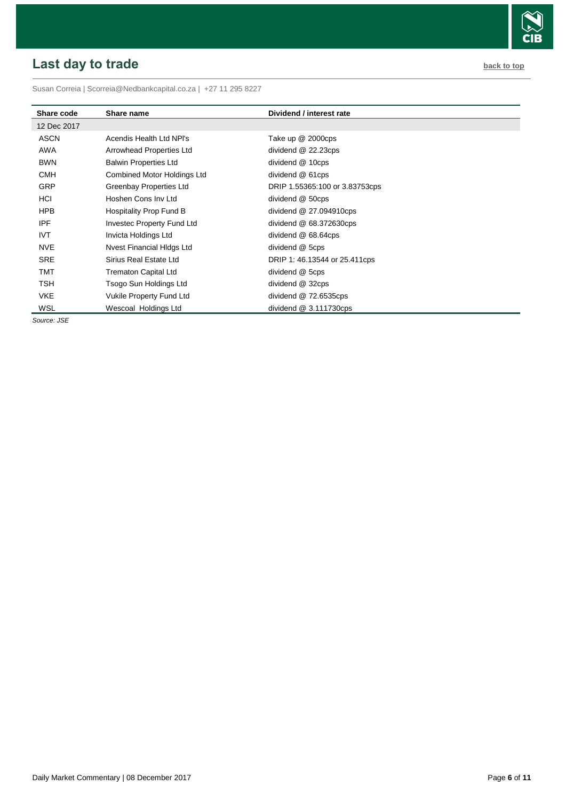# <span id="page-5-0"></span>**Last day to trade back to the contract of the contract of the contract of the contract of the contract of the contract of the contract of the contract of the contract of the contract of the contract of the contract of t**

Susan Correia [| Scorreia@Nedbankcapital.co.za](mailto:Scorreia@Nedbankcapital.co.za) | +27 11 295 8227

| Share code  | Share name                         | Dividend / interest rate       |
|-------------|------------------------------------|--------------------------------|
| 12 Dec 2017 |                                    |                                |
| <b>ASCN</b> | Acendis Health Ltd NPI's           | Take up @ 2000cps              |
| AWA         | Arrowhead Properties Ltd           | dividend @ 22.23cps            |
| <b>BWN</b>  | <b>Balwin Properties Ltd</b>       | dividend @ 10cps               |
| <b>CMH</b>  | <b>Combined Motor Holdings Ltd</b> | dividend @ 61cps               |
| <b>GRP</b>  | Greenbay Properties Ltd            | DRIP 1.55365:100 or 3.83753cps |
| <b>HCI</b>  | Hoshen Cons Inv Ltd                | dividend @ 50cps               |
| <b>HPB</b>  | Hospitality Prop Fund B            | dividend @ 27.094910cps        |
| <b>IPF</b>  | <b>Investec Property Fund Ltd</b>  | dividend $@68.372630cps$       |
| IVT.        | Invicta Holdings Ltd               | dividend @ 68.64cps            |
| <b>NVE</b>  | <b>Nvest Financial Hidgs Ltd</b>   | dividend @ 5cps                |
| <b>SRE</b>  | Sirius Real Estate Ltd             | DRIP 1: 46.13544 or 25.411cps  |
| TMT         | <b>Trematon Capital Ltd</b>        | dividend @ 5cps                |
| <b>TSH</b>  | Tsogo Sun Holdings Ltd             | dividend @ 32cps               |
| <b>VKE</b>  | Vukile Property Fund Ltd           | dividend @ 72.6535cps          |
| WSL         | Wescoal Holdings Ltd               | dividend $@3.111730$ cps       |

*Source: JSE*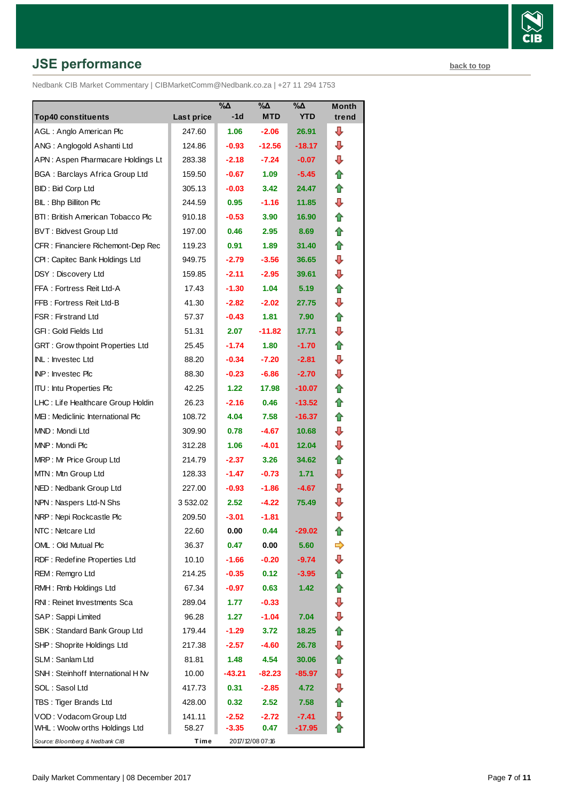# **JSE performance [back to top](#page-0-0) back to top**

Nedbank CIB Market Commentary | CIBMarketComm@Nedbank.co.za | +27 11 294 1753

|                                         |                   | $\%$ $\Delta$     | $\%$ $\Delta$    | $\% \Delta$ | <b>Month</b> |
|-----------------------------------------|-------------------|-------------------|------------------|-------------|--------------|
| <b>Top40 constituents</b>               | <b>Last price</b> | $-1d$             | <b>MTD</b>       | <b>YTD</b>  | trend        |
| AGL: Anglo American Plc                 | 247.60            | 1.06              | $-2.06$          | 26.91       | ┺            |
| ANG: Anglogold Ashanti Ltd              | 124.86            | $-0.93$           | $-12.56$         | $-18.17$    | ⊕            |
| APN: Aspen Pharmacare Holdings Lt       | 283.38            | $-2.18$           | $-7.24$          | $-0.07$     | ⊕            |
| <b>BGA: Barclays Africa Group Ltd</b>   | 159.50            | $-0.67$           | 1.09             | $-5.45$     | ⇑            |
| BID: Bid Corp Ltd                       | 305.13            | $-0.03$           | 3.42             | 24.47       | ⇑            |
| BIL: Bhp Billiton Plc                   | 244.59            | 0.95              | $-1.16$          | 11.85       | ⇩            |
| BTI: British American Tobacco Plc       | 910.18            | $-0.53$           | 3.90             | 16.90       | t            |
| <b>BVT: Bidvest Group Ltd</b>           | 197.00            | 0.46              | 2.95             | 8.69        | ⇑            |
| CFR : Financiere Richemont-Dep Rec      | 119.23            | 0.91              | 1.89             | 31.40       | ⇑            |
| CPI: Capitec Bank Holdings Ltd          | 949.75            | $-2.79$           | $-3.56$          | 36.65       | ⇩            |
| DSY: Discovery Ltd                      | 159.85            | $-2.11$           | $-2.95$          | 39.61       | ⇩            |
| FFA: Fortress Reit Ltd-A                | 17.43             | $-1.30$           | 1.04             | 5.19        | ⇑            |
| FFB: Fortress Reit Ltd-B                | 41.30             | $-2.82$           | $-2.02$          | 27.75       | ⊕            |
| FSR: Firstrand Ltd                      | 57.37             | $-0.43$           | 1.81             | 7.90        | ⇮            |
| GFI: Gold Fields Ltd                    | 51.31             | 2.07              | $-11.82$         | 17.71       | ⊕            |
| <b>GRT: Grow thpoint Properties Ltd</b> | 25.45             | $-1.74$           | 1.80             | $-1.70$     | ⇑            |
| INL: Investec Ltd                       | 88.20             | $-0.34$           | $-7.20$          | $-2.81$     | ⇩            |
| <b>INP: Investec Plc</b>                | 88.30             | $-0.23$           | $-6.86$          | $-2.70$     | ⇩            |
| <b>ITU:</b> Intu Properties Plc         | 42.25             | 1.22              | 17.98            | $-10.07$    | t            |
| LHC: Life Healthcare Group Holdin       | 26.23             | $-2.16$           | 0.46             | $-13.52$    | ⇑            |
| MEI: Mediclinic International Plc       | 108.72            | 4.04              | 7.58             | $-16.37$    | ⇑            |
| MND: Mondi Ltd                          | 309.90            | 0.78              | $-4.67$          | 10.68       | ⇩            |
| MNP: Mondi Plc                          | 312.28            | 1.06              | $-4.01$          | 12.04       | ⊕            |
| MRP: Mr Price Group Ltd                 | 214.79            | $-2.37$           | 3.26             | 34.62       | ⇑            |
| MTN: Mtn Group Ltd                      | 128.33            | $-1.47$           | $-0.73$          | 1.71        | ⊕            |
| NED: Nedbank Group Ltd                  | 227.00            | $-0.93$           | $-1.86$          | $-4.67$     | ⊕            |
| NPN: Naspers Ltd-N Shs                  | 3 532.02          | 2.52 <sub>2</sub> | $-4.22$          | 75.49       | ⇩            |
| NRP: Nepi Rockcastle Plc                | 209.50            | $-3.01$           | $-1.81$          |             | ⇩            |
| NTC: Netcare Ltd                        | 22.60             | 0.00              | 0.44             | $-29.02$    |              |
| OML: Old Mutual Plc                     | 36.37             | 0.47              | 0.00             | 5.60        | ⇨            |
| RDF: Redefine Properties Ltd            | 10.10             | -1.66             | $-0.20$          | $-9.74$     | ⇩            |
| REM: Remgro Ltd                         | 214.25            | $-0.35$           | 0.12             | $-3.95$     | ⇑            |
| RMH: Rmb Holdings Ltd                   | 67.34             | $-0.97$           | 0.63             | 1.42        | €            |
| RNI: Reinet Investments Sca             | 289.04            | 1.77              | $-0.33$          |             | ⇩            |
| SAP: Sappi Limited                      | 96.28             | 1.27              | $-1.04$          | 7.04        | ⊕            |
| SBK: Standard Bank Group Ltd            | 179.44            | $-1.29$           | 3.72             | 18.25       | ⇑            |
| SHP: Shoprite Holdings Ltd              | 217.38            | $-2.57$           | -4.60            | 26.78       | ⇩            |
| SLM: Sanlam Ltd                         | 81.81             | 1.48              | 4.54             | 30.06       | ⇑            |
| SNH: Steinhoff International H Nv       | 10.00             | -43.21            | $-82.23$         | $-85.97$    | ⇩            |
| SOL: Sasol Ltd                          | 417.73            | 0.31              | $-2.85$          | 4.72        | ⇩            |
| TBS: Tiger Brands Ltd                   | 428.00            | 0.32              | 2.52             | 7.58        | €            |
| VOD: Vodacom Group Ltd                  | 141.11            | $-2.52$           | $-2.72$          | $-7.41$     | ⇩            |
| WHL: Woolw orths Holdings Ltd           | 58.27             | $-3.35$           | 0.47             | $-17.95$    | ⇑            |
| Source: Bloomberg & Nedbank CIB         | Time              |                   | 2017/12/08 07:16 |             |              |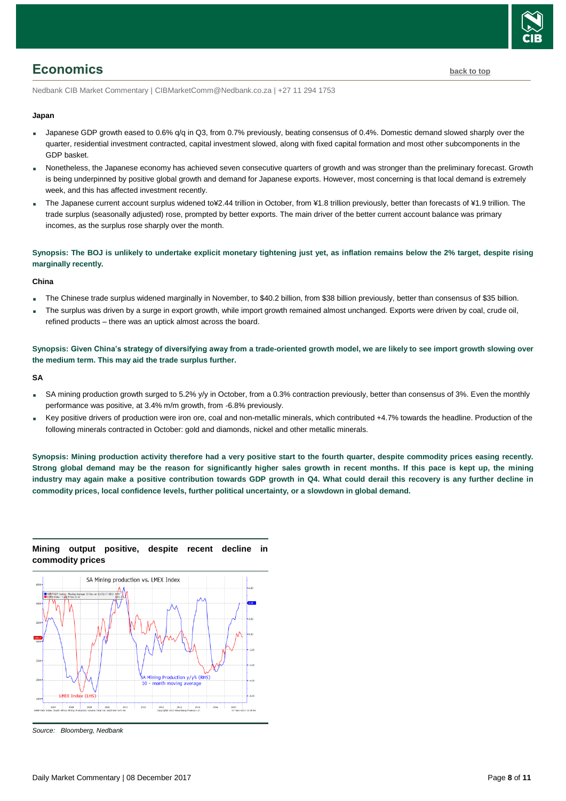

# <span id="page-7-0"></span>**Economics [back to top](#page-0-0)**

Nedbank CIB Market Commentary | CIBMarketComm@Nedbank.co.za | +27 11 294 1753

#### **Japan**

- Japanese GDP growth eased to 0.6%  $q/q$  in Q3, from 0.7% previously, beating consensus of 0.4%. Domestic demand slowed sharply over the quarter, residential investment contracted, capital investment slowed, along with fixed capital formation and most other subcomponents in the GDP basket.
- Nonetheless, the Japanese economy has achieved seven consecutive quarters of growth and was stronger than the preliminary forecast. Growth is being underpinned by positive global growth and demand for Japanese exports. However, most concerning is that local demand is extremely week, and this has affected investment recently.
- The Japanese current account surplus widened to¥2.44 trillion in October, from ¥1.8 trillion previously, better than forecasts of ¥1.9 trillion. The trade surplus (seasonally adjusted) rose, prompted by better exports. The main driver of the better current account balance was primary incomes, as the surplus rose sharply over the month.

#### **Synopsis: The BOJ is unlikely to undertake explicit monetary tightening just yet, as inflation remains below the 2% target, despite rising marginally recently.**

#### **China**

- The Chinese trade surplus widened marginally in November, to \$40.2 billion, from \$38 billion previously, better than consensus of \$35 billion.
- The surplus was driven by a surge in export growth, while import growth remained almost unchanged. Exports were driven by coal, crude oil, refined products – there was an uptick almost across the board.

**Synopsis: Given China's strategy of diversifying away from a trade-oriented growth model, we are likely to see import growth slowing over the medium term. This may aid the trade surplus further.**

#### **SA**

- SA mining production growth surged to 5.2% y/y in October, from a 0.3% contraction previously, better than consensus of 3%. Even the monthly performance was positive, at 3.4% m/m growth, from -6.8% previously.
- Key positive drivers of production were iron ore, coal and non-metallic minerals, which contributed +4.7% towards the headline. Production of the following minerals contracted in October: gold and diamonds, nickel and other metallic minerals.

**Synopsis: Mining production activity therefore had a very positive start to the fourth quarter, despite commodity prices easing recently. Strong global demand may be the reason for significantly higher sales growth in recent months. If this pace is kept up, the mining industry may again make a positive contribution towards GDP growth in Q4. What could derail this recovery is any further decline in commodity prices, local confidence levels, further political uncertainty, or a slowdown in global demand.** 



**Mining output positive, despite recent decline in commodity prices**

*Source: Bloomberg, Nedbank*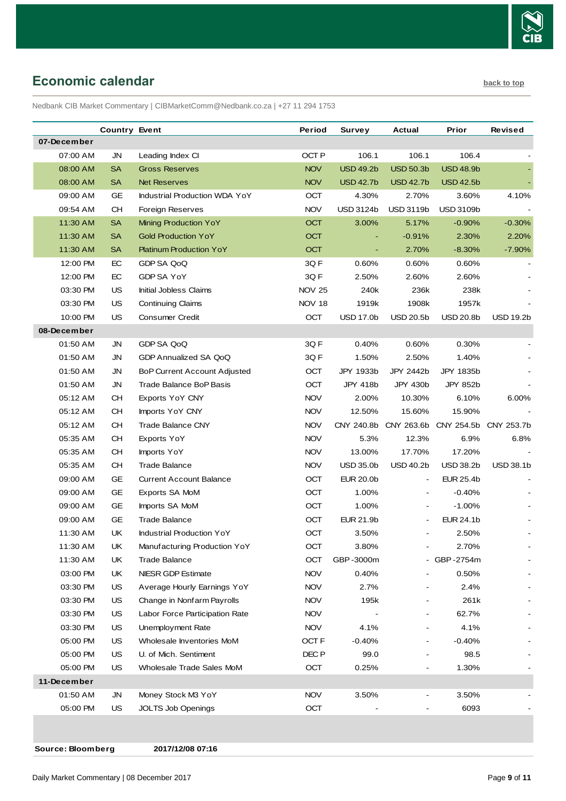

# <span id="page-8-0"></span>**Economic calendar [back to top](#page-0-0) back to top**

Nedbank CIB Market Commentary | CIBMarketComm@Nedbank.co.za | +27 11 294 1753

|             | <b>Country Event</b> |                                      | Period           | Survey                   | Actual           | Prior            | Revised          |
|-------------|----------------------|--------------------------------------|------------------|--------------------------|------------------|------------------|------------------|
| 07-December |                      |                                      |                  |                          |                  |                  |                  |
| 07:00 AM    | JN                   | Leading Index CI                     | OCT P            | 106.1                    | 106.1            | 106.4            |                  |
| 08:00 AM    | <b>SA</b>            | <b>Gross Reserves</b>                | <b>NOV</b>       | <b>USD 49.2b</b>         | <b>USD 50.3b</b> | <b>USD 48.9b</b> |                  |
| 08:00 AM    | SA                   | <b>Net Reserves</b>                  | <b>NOV</b>       | <b>USD 42.7b</b>         | <b>USD 42.7b</b> | <b>USD 42.5b</b> |                  |
| 09:00 AM    | GE                   | <b>Industrial Production WDA YoY</b> | OCT              | 4.30%                    | 2.70%            | 3.60%            | 4.10%            |
| 09:54 AM    | CH                   | Foreign Reserves                     | <b>NOV</b>       | <b>USD 3124b</b>         | <b>USD 3119b</b> | <b>USD 3109b</b> |                  |
| 11:30 AM    | <b>SA</b>            | Mining Production YoY                | <b>OCT</b>       | 3.00%                    | 5.17%            | $-0.90%$         | $-0.30%$         |
| 11:30 AM    | <b>SA</b>            | <b>Gold Production YoY</b>           | <b>OCT</b>       |                          | $-0.91%$         | 2.30%            | 2.20%            |
| 11:30 AM    | SA                   | <b>Platinum Production YoY</b>       | <b>OCT</b>       | $\overline{\phantom{a}}$ | 2.70%            | $-8.30%$         | $-7.90%$         |
| 12:00 PM    | EC                   | GDP SA QoQ                           | 3QF              | 0.60%                    | 0.60%            | 0.60%            |                  |
| 12:00 PM    | EC                   | GDP SA YoY                           | 3QF              | 2.50%                    | 2.60%            | 2.60%            |                  |
| 03:30 PM    | US                   | <b>Initial Jobless Claims</b>        | <b>NOV 25</b>    | 240k                     | 236k             | 238k             |                  |
| 03:30 PM    | US                   | <b>Continuing Claims</b>             | <b>NOV 18</b>    | 1919k                    | 1908k            | 1957k            |                  |
| 10:00 PM    | US                   | Consumer Credit                      | OCT              | <b>USD 17.0b</b>         | <b>USD 20.5b</b> | <b>USD 20.8b</b> | <b>USD 19.2b</b> |
| 08-December |                      |                                      |                  |                          |                  |                  |                  |
| 01:50 AM    | JN                   | GDP SA QoQ                           | 3Q F             | 0.40%                    | 0.60%            | 0.30%            |                  |
| 01:50 AM    | JN                   | GDP Annualized SA QoQ                | 3Q F             | 1.50%                    | 2.50%            | 1.40%            |                  |
| 01:50 AM    | JN                   | <b>BoP Current Account Adjusted</b>  | OCT              | JPY 1933b                | JPY 2442b        | JPY 1835b        |                  |
| 01:50 AM    | JN                   | Trade Balance BoP Basis              | <b>OCT</b>       | JPY 418b                 | JPY 430b         | JPY 852b         |                  |
| 05:12 AM    | CН                   | Exports YoY CNY                      | <b>NOV</b>       | 2.00%                    | 10.30%           | 6.10%            | 6.00%            |
| 05:12 AM    | CH                   | Imports YoY CNY                      | <b>NOV</b>       | 12.50%                   | 15.60%           | 15.90%           |                  |
| 05:12 AM    | CН                   | <b>Trade Balance CNY</b>             | <b>NOV</b>       | CNY 240.8b               | CNY 263.6b       | CNY 254.5b       | CNY 253.7b       |
| 05:35 AM    | CН                   | Exports YoY                          | <b>NOV</b>       | 5.3%                     | 12.3%            | 6.9%             | 6.8%             |
| 05:35 AM    | CH                   | Imports YoY                          | <b>NOV</b>       | 13.00%                   | 17.70%           | 17.20%           |                  |
| 05:35 AM    | CН                   | <b>Trade Balance</b>                 | <b>NOV</b>       | <b>USD 35.0b</b>         | <b>USD 40.2b</b> | <b>USD 38.2b</b> | <b>USD 38.1b</b> |
| 09:00 AM    | GE                   | <b>Current Account Balance</b>       | OCT              | <b>EUR 20.0b</b>         | $\blacksquare$   | <b>EUR 25.4b</b> |                  |
| 09:00 AM    | GE                   | Exports SA MoM                       | ОСТ              | 1.00%                    | $\blacksquare$   | $-0.40%$         |                  |
| 09:00 AM    | GE                   | Imports SA MoM                       | OCT              | 1.00%                    |                  | $-1.00%$         |                  |
| 09:00 AM    | <b>GE</b>            | <b>Trade Balance</b>                 | OCT              | EUR 21.9b                |                  | EUR 24.1b        |                  |
| 11:30 AM    | UK                   | <b>Industrial Production YoY</b>     | OCT              | 3.50%                    |                  | 2.50%            |                  |
| 11:30 AM    | UK                   | Manufacturing Production YoY         | OCT              | 3.80%                    |                  | 2.70%            |                  |
| 11:30 AM    | UK                   | <b>Trade Balance</b>                 | OCT              | GBP-3000m                |                  | - GBP-2754m      |                  |
| 03:00 PM    | UK                   | <b>NIESR GDP Estimate</b>            | <b>NOV</b>       | 0.40%                    |                  | 0.50%            |                  |
| 03:30 PM    | US                   | Average Hourly Earnings YoY          | <b>NOV</b>       | 2.7%                     |                  | 2.4%             |                  |
| 03:30 PM    | US                   | Change in Nonfarm Payrolls           | <b>NOV</b>       | 195k                     |                  | 261k             |                  |
| 03:30 PM    | US                   | Labor Force Participation Rate       | <b>NOV</b>       |                          |                  | 62.7%            |                  |
| 03:30 PM    | US                   | Unemployment Rate                    | <b>NOV</b>       | 4.1%                     |                  | 4.1%             |                  |
| 05:00 PM    | US                   | Wholesale Inventories MoM            | OCT <sub>F</sub> | $-0.40%$                 |                  | -0.40%           |                  |
| 05:00 PM    | US                   | U. of Mich. Sentiment                | DEC <sub>P</sub> | 99.0                     |                  | 98.5             |                  |
| 05:00 PM    | US                   | Wholesale Trade Sales MoM            | OCT              | 0.25%                    |                  | 1.30%            |                  |
| 11-December |                      |                                      |                  |                          |                  |                  |                  |
| 01:50 AM    | JN                   | Money Stock M3 YoY                   | <b>NOV</b>       | 3.50%                    |                  | 3.50%            |                  |
| 05:00 PM    | <b>US</b>            | <b>JOLTS Job Openings</b>            | OCT              |                          |                  | 6093             |                  |
|             |                      |                                      |                  |                          |                  |                  |                  |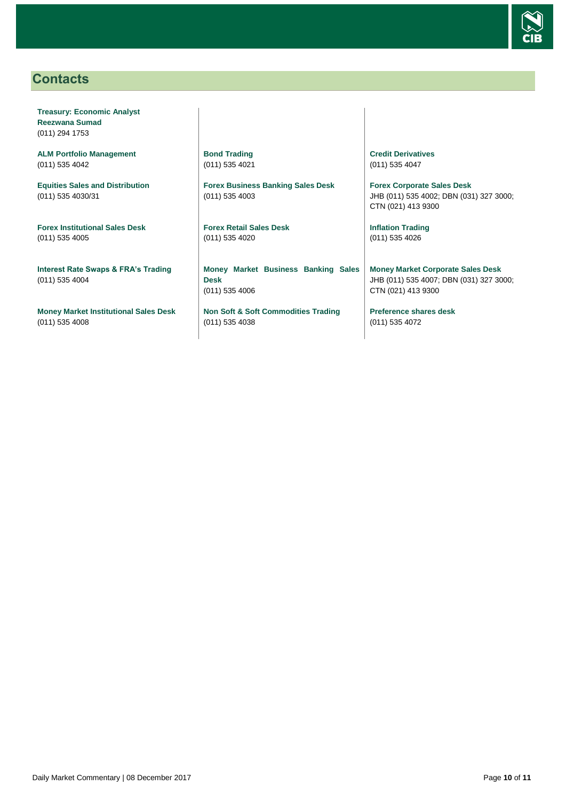

# <span id="page-9-0"></span>**Contacts**

**Treasury: Economic Analyst Reezwana Sumad** (011) 294 1753

**ALM Portfolio Management** (011) 535 4042

**Equities Sales and Distribution** (011) 535 4030/31

**Forex Institutional Sales Desk** (011) 535 4005

**Interest Rate Swaps & FRA's Trading** (011) 535 4004

**Money Market Institutional Sales Desk** (011) 535 4008

**Bond Trading** (011) 535 4021

**Forex Business Banking Sales Desk** (011) 535 4003

**Forex Retail Sales Desk** (011) 535 4020

**Money Market Business Banking Sales Desk** (011) 535 4006

**Non Soft & Soft Commodities Trading** (011) 535 4038

**Credit Derivatives**  (011) 535 4047

**Forex Corporate Sales Desk** JHB (011) 535 4002; DBN (031) 327 3000; CTN (021) 413 9300

**Inflation Trading** (011) 535 4026

**Money Market Corporate Sales Desk** JHB (011) 535 4007; DBN (031) 327 3000; CTN (021) 413 9300

**Preference shares desk** (011) 535 4072